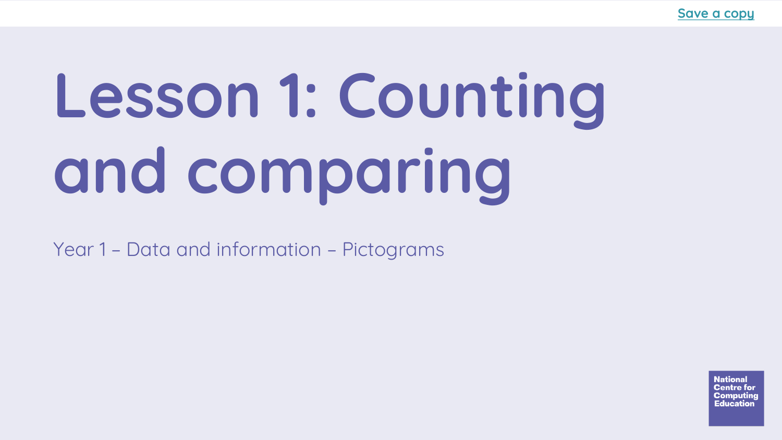# **Lesson 1: Counting and comparing**

Year 1 – Data and information – Pictograms

**National** Centre for tomputinc ducatio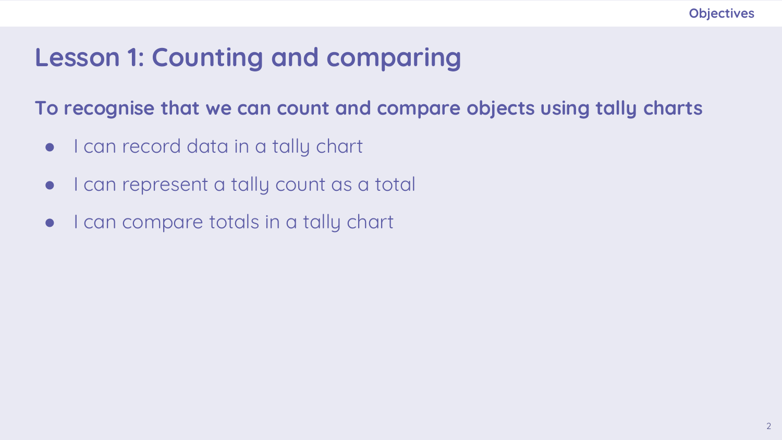#### **Lesson 1: Counting and comparing**

**To recognise that we can count and compare objects using tally charts**

- I can record data in a tally chart
- I can represent a tally count as a total
- I can compare totals in a tally chart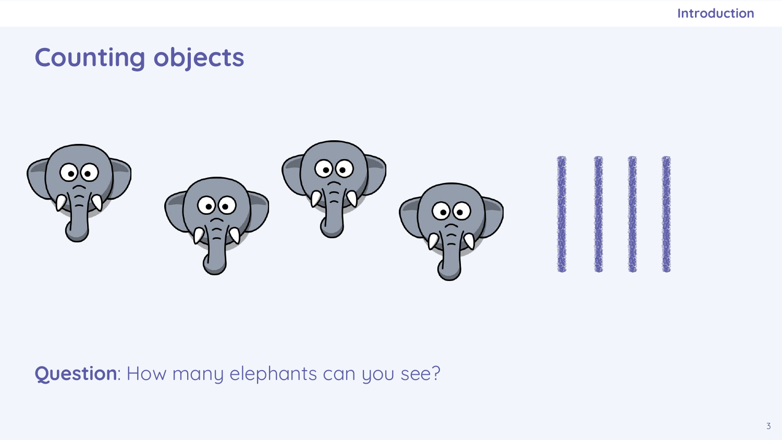## **Counting objects**



**Question**: How many elephants can you see?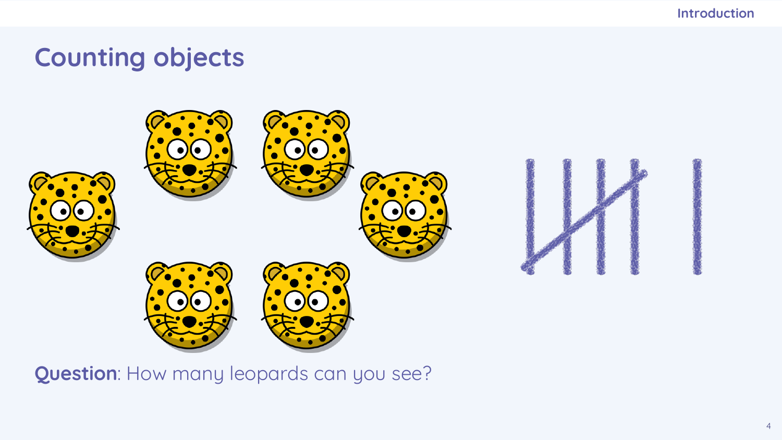## **Counting objects**



**Question**: How many leopards can you see?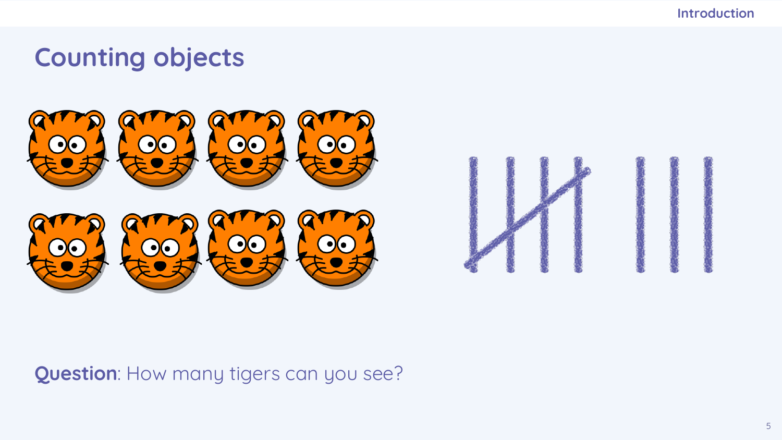## **Counting objects**





**Question**: How many tigers can you see?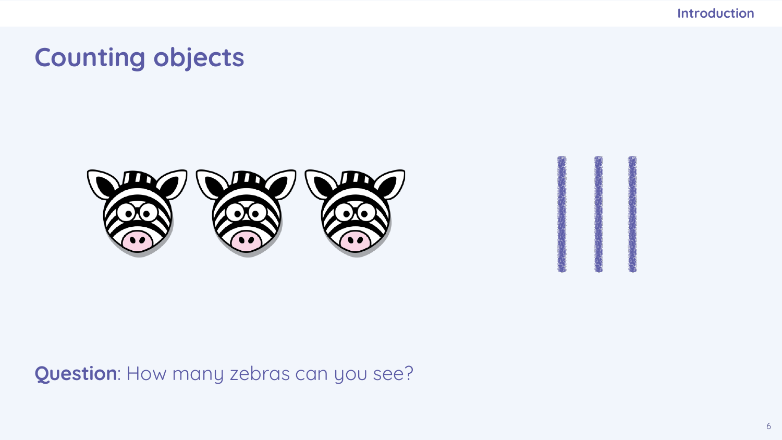#### **Counting objects**



**Question**: How many zebras can you see?

6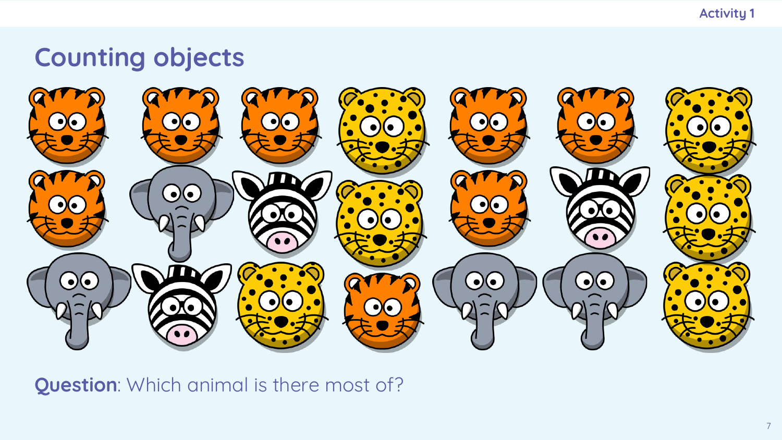**Activity 1**

#### **Counting objects**



**Question**: Which animal is there most of?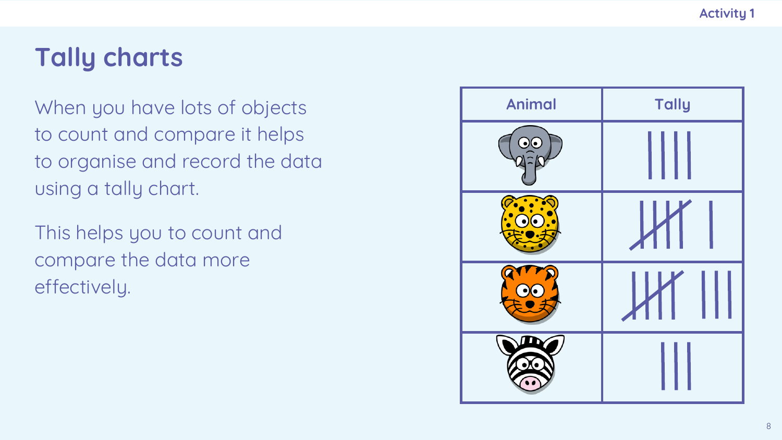## **Tally charts**

When you have lots of objects to count and compare it helps to organise and record the data using a tally chart.

This helps you to count and compare the data more effectively.

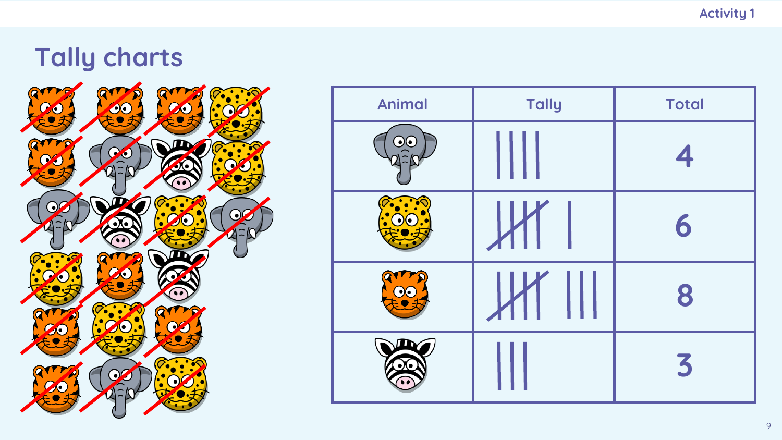## **Tally charts**



| <b>Animal</b> | <b>Tally</b> | <b>Total</b> |
|---------------|--------------|--------------|
| Ι۰            |              | 4            |
|               |              | 6            |
|               |              | 8            |
|               |              | 3            |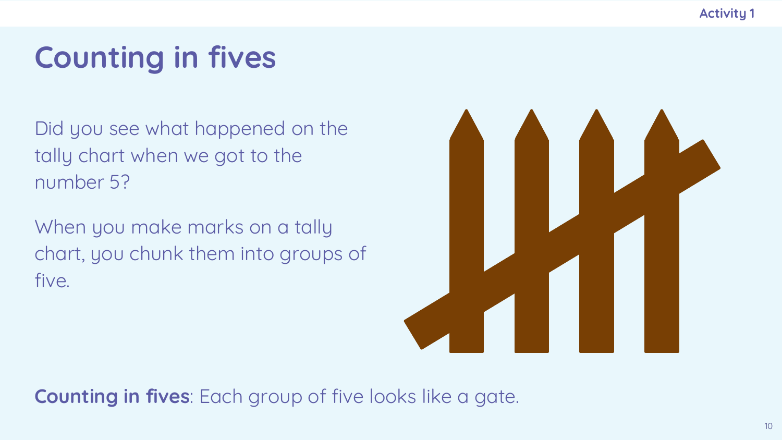**Activity 1**

## **Counting in fives**

Did you see what happened on the tally chart when we got to the number 5?

When you make marks on a tally chart, you chunk them into groups of five.



**Counting in fives**: Each group of five looks like a gate.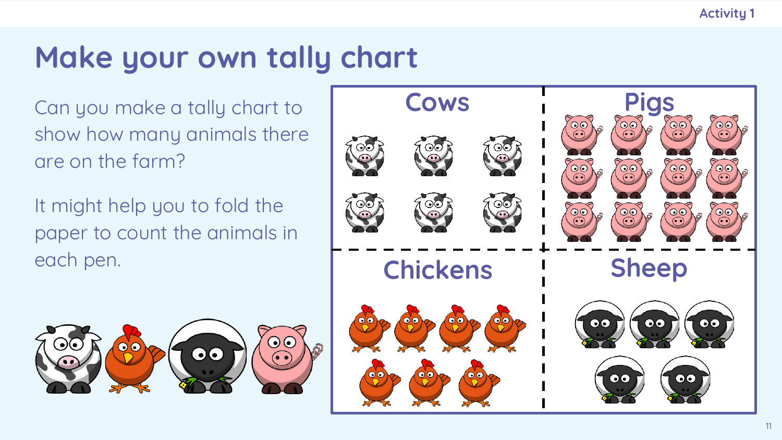## **Make your own tally chart**

Can you make a tally chart to show how many animals there are on the farm?

It might help you to fold the paper to count the animals in each pen.



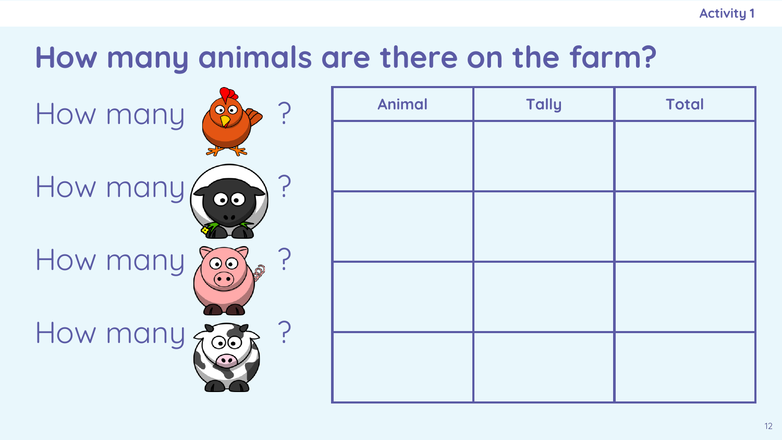## **How many animals are there on the farm?**

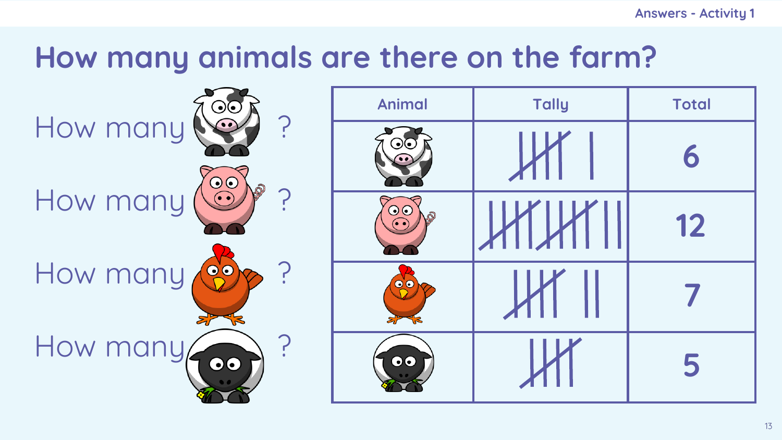**Answers - Activity 1**

## **How many animals are there on the farm?**

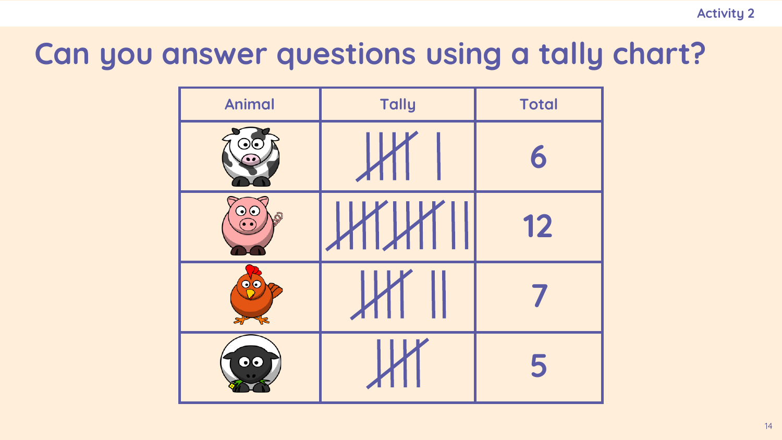## **Can you answer questions using a tally chart?**

| <b>Animal</b>        | <b>Tally</b> | <b>Total</b> |
|----------------------|--------------|--------------|
|                      | <b>K</b>     | 6            |
| $\overline{\bullet}$ | <b>HIHII</b> | 12           |
| 00                   |              |              |
| $\bullet\bullet$     |              | 5            |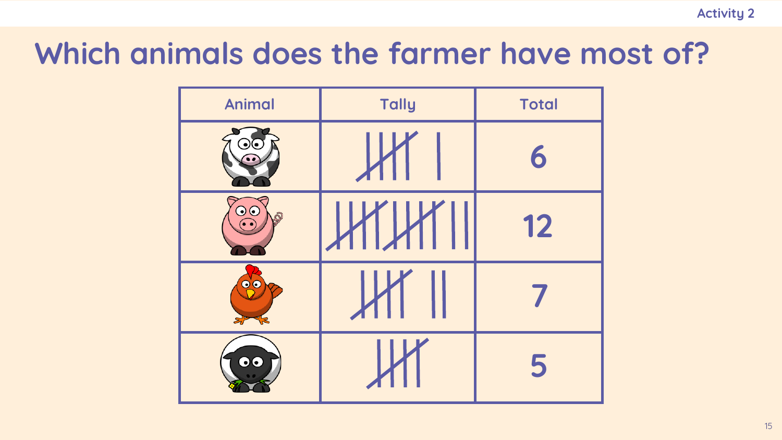## **Which animals does the farmer have most of?**

| <b>Animal</b>    | <b>Tally</b> | <b>Total</b> |
|------------------|--------------|--------------|
|                  | $\mathsf{L}$ | 6            |
| $\odot$          | HIHI I       | 12           |
| $\bullet\bullet$ |              |              |
| $\bullet$        |              | 5            |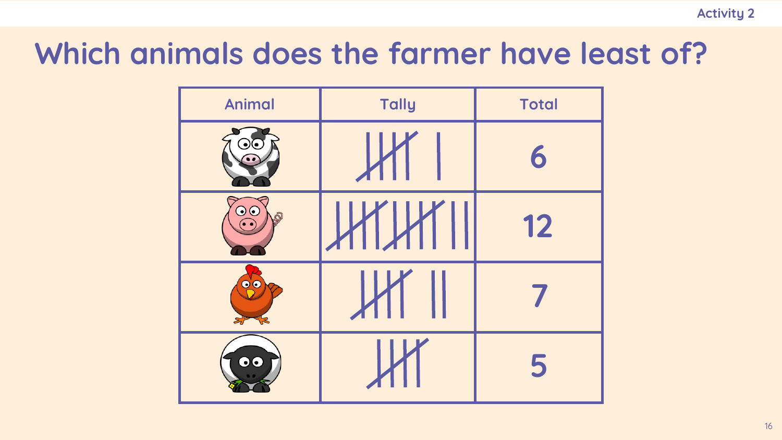## **Which animals does the farmer have least of?**

| <b>Animal</b>    | <b>Tally</b> | <b>Total</b> |
|------------------|--------------|--------------|
|                  | $\mathsf{L}$ | 6            |
| $\odot$          | HIHI I       | 12           |
| $\bullet\bullet$ |              |              |
| $\bullet$        |              | 5            |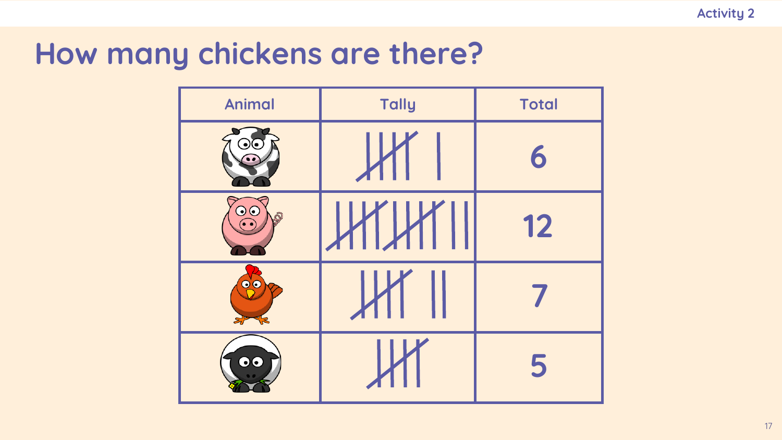## **How many chickens are there?**

| <b>Animal</b>        | Tally        | <b>Total</b> |
|----------------------|--------------|--------------|
|                      | $\mathsf{H}$ | 6            |
| $\overline{\bullet}$ | HIHI II      | 12           |
| $\bullet$ $\bullet$  |              |              |
| $\bullet\bullet$     |              | 5            |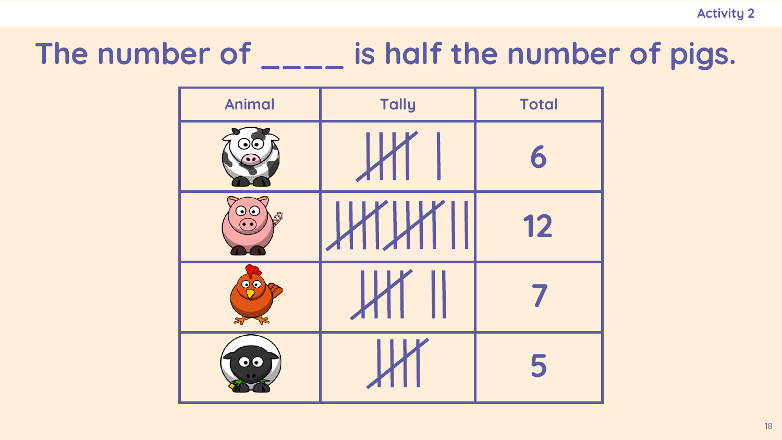# The number of \_\_\_\_ is half the number of pigs.

| <b>Animal</b>           | <b>Tally</b>   | <b>Total</b> |
|-------------------------|----------------|--------------|
|                         | И              | 6            |
| $\odot$                 | <u> HIHI I</u> | 12           |
| $\bullet\bullet$        |                |              |
| $\overline{\mathbf{0}}$ |                | 5            |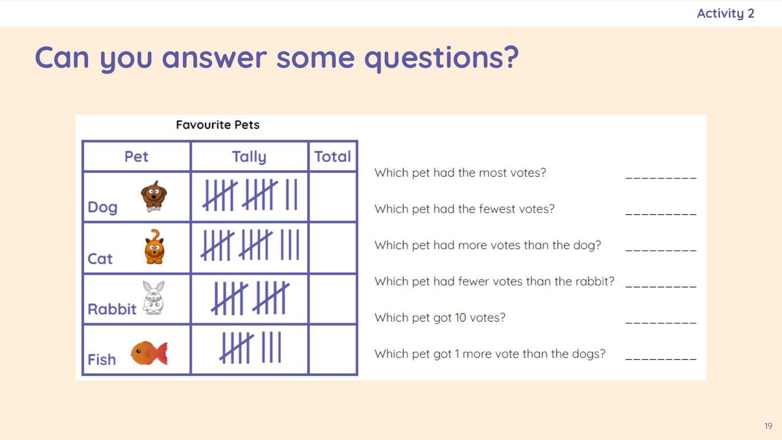## **Can you answer some questions?**

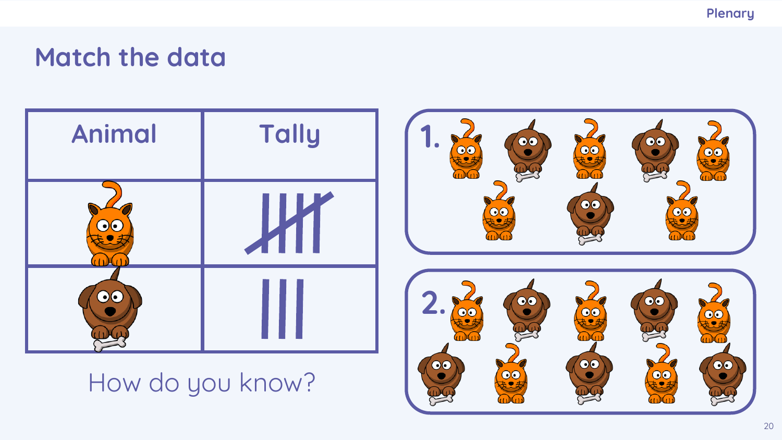**Plenary**

## **Match the data**



### How do you know?

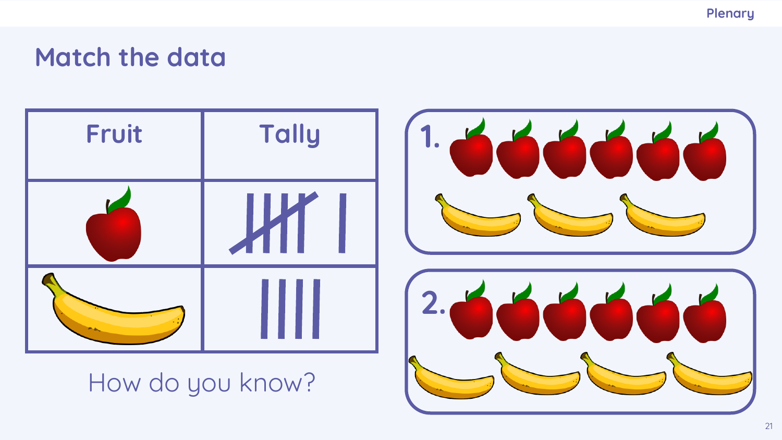**Plenary**

## **Match the data**



How do you know?

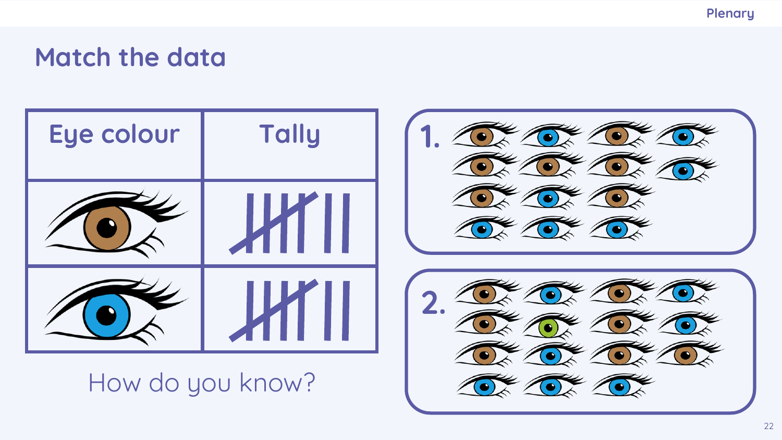**Plenary**

#### **Match the data**



How do you know?



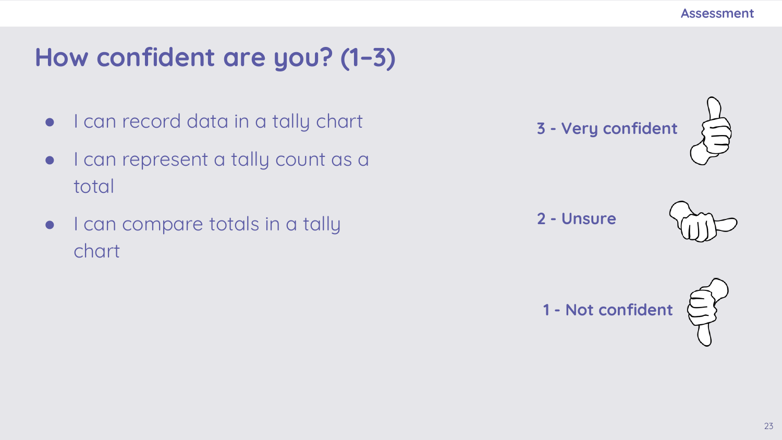## **How confident are you? (1–3)**

- I can record data in a tally chart
- I can represent a tally count as a total
- I can compare totals in a tally chart